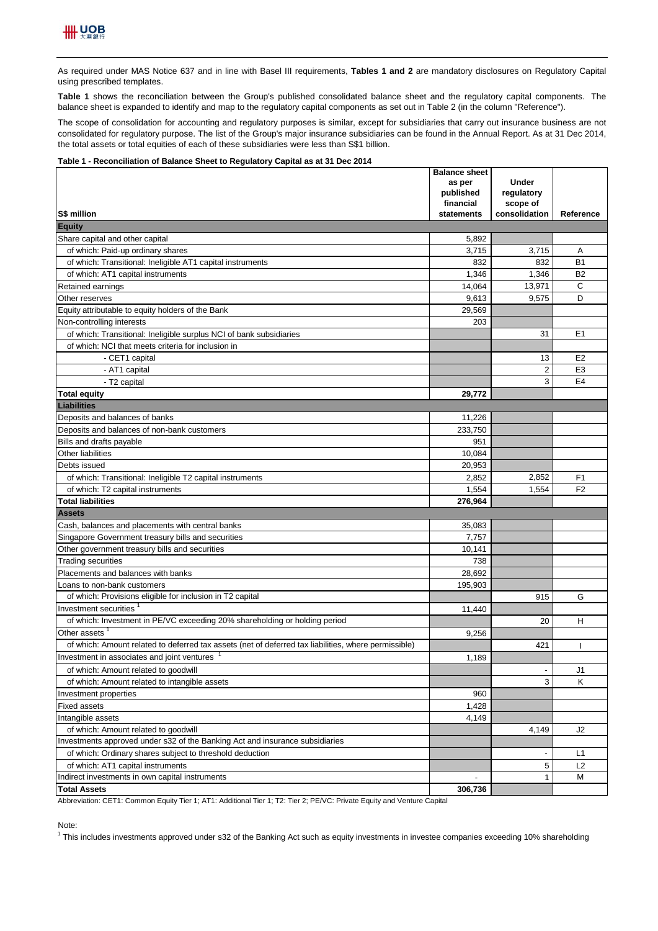As required under MAS Notice 637 and in line with Basel III requirements, Tables 1 and 2 are mandatory disclosures on Regulatory Capital using prescribed templates.

**Table 1** shows the reconciliation between the Group's published consolidated balance sheet and the regulatory capital components. The balance sheet is expanded to identify and map to the regulatory capital components as set out in Table 2 (in the column "Reference").

The scope of consolidation for accounting and regulatory purposes is similar, except for subsidiaries that carry out insurance business are not consolidated for regulatory purpose. The list of the Group's major insurance subsidiaries can be found in the Annual Report. As at 31 Dec 2014, the total assets or total equities of each of these subsidiaries were less than S\$1 billion.

## **Table 1 - Reconciliation of Balance Sheet to Regulatory Capital as at 31 Dec 2014**

|                                                                                                      | <b>Balance sheet</b><br>as per | <b>Under</b>             |                |
|------------------------------------------------------------------------------------------------------|--------------------------------|--------------------------|----------------|
|                                                                                                      | published                      | regulatory               |                |
|                                                                                                      | financial                      | scope of                 |                |
| S\$ million                                                                                          | statements                     | consolidation            | Reference      |
| <b>Equity</b>                                                                                        |                                |                          |                |
| Share capital and other capital                                                                      | 5,892                          |                          |                |
| of which: Paid-up ordinary shares                                                                    | 3,715                          | 3,715                    | Α              |
| of which: Transitional: Ineligible AT1 capital instruments                                           | 832                            | 832                      | <b>B1</b>      |
| of which: AT1 capital instruments                                                                    | 1,346                          | 1,346                    | <b>B2</b>      |
| Retained earnings                                                                                    | 14,064                         | 13.971                   | C              |
| Other reserves                                                                                       | 9,613                          | 9,575                    | D              |
| Equity attributable to equity holders of the Bank                                                    | 29,569                         |                          |                |
| Non-controlling interests                                                                            | 203                            |                          |                |
| of which: Transitional: Ineligible surplus NCI of bank subsidiaries                                  |                                | 31                       | E1             |
| of which: NCI that meets criteria for inclusion in                                                   |                                |                          |                |
| - CET1 capital                                                                                       |                                | 13                       | E <sub>2</sub> |
| - AT1 capital                                                                                        |                                | $\overline{2}$           | E <sub>3</sub> |
| - T2 capital                                                                                         |                                | 3                        | E <sub>4</sub> |
| <b>Total equity</b>                                                                                  | 29,772                         |                          |                |
| Liabilities                                                                                          |                                |                          |                |
| Deposits and balances of banks                                                                       | 11,226                         |                          |                |
| Deposits and balances of non-bank customers                                                          | 233,750                        |                          |                |
| Bills and drafts payable                                                                             | 951                            |                          |                |
| Other liabilities                                                                                    | 10.084                         |                          |                |
| Debts issued                                                                                         | 20,953                         |                          |                |
| of which: Transitional: Ineligible T2 capital instruments                                            | 2,852                          | 2,852                    | F <sub>1</sub> |
| of which: T2 capital instruments                                                                     | 1,554                          | 1,554                    | F <sub>2</sub> |
| <b>Total liabilities</b>                                                                             | 276,964                        |                          |                |
| <b>Assets</b>                                                                                        |                                |                          |                |
| Cash, balances and placements with central banks                                                     | 35,083                         |                          |                |
| Singapore Government treasury bills and securities                                                   | 7,757                          |                          |                |
| Other government treasury bills and securities                                                       | 10,141                         |                          |                |
| <b>Trading securities</b>                                                                            | 738                            |                          |                |
| Placements and balances with banks                                                                   | 28,692                         |                          |                |
| Loans to non-bank customers                                                                          | 195,903                        |                          |                |
| of which: Provisions eligible for inclusion in T2 capital                                            |                                | 915                      | G              |
| Investment securities                                                                                | 11,440                         |                          |                |
| of which: Investment in PE/VC exceeding 20% shareholding or holding period                           |                                | 20                       | н              |
| Other assets                                                                                         | 9,256                          |                          |                |
| of which: Amount related to deferred tax assets (net of deferred tax liabilities, where permissible) |                                | 421                      |                |
| Investment in associates and joint ventures                                                          | 1,189                          |                          |                |
| of which: Amount related to goodwill                                                                 |                                | $\overline{\phantom{a}}$ | J1             |
| of which: Amount related to intangible assets                                                        |                                | 3                        | Κ              |
| Investment properties                                                                                | 960                            |                          |                |
| <b>Fixed assets</b>                                                                                  | 1,428                          |                          |                |
| Intangible assets                                                                                    | 4,149                          |                          |                |
| of which: Amount related to goodwill                                                                 |                                | 4,149                    | J2             |
| Investments approved under s32 of the Banking Act and insurance subsidiaries                         |                                |                          |                |
| of which: Ordinary shares subject to threshold deduction                                             |                                | $\overline{\phantom{a}}$ | L1             |
| of which: AT1 capital instruments                                                                    |                                | 5                        | L2             |
| Indirect investments in own capital instruments                                                      |                                | 1                        | М              |
| <b>Total Assets</b>                                                                                  | 306,736                        |                          |                |

Abbreviation: CET1: Common Equity Tier 1; AT1: Additional Tier 1; T2: Tier 2; PE/VC: Private Equity and Venture Capital

Note:

<sup>1</sup> This includes investments approved under s32 of the Banking Act such as equity investments in investee companies exceeding 10% shareholding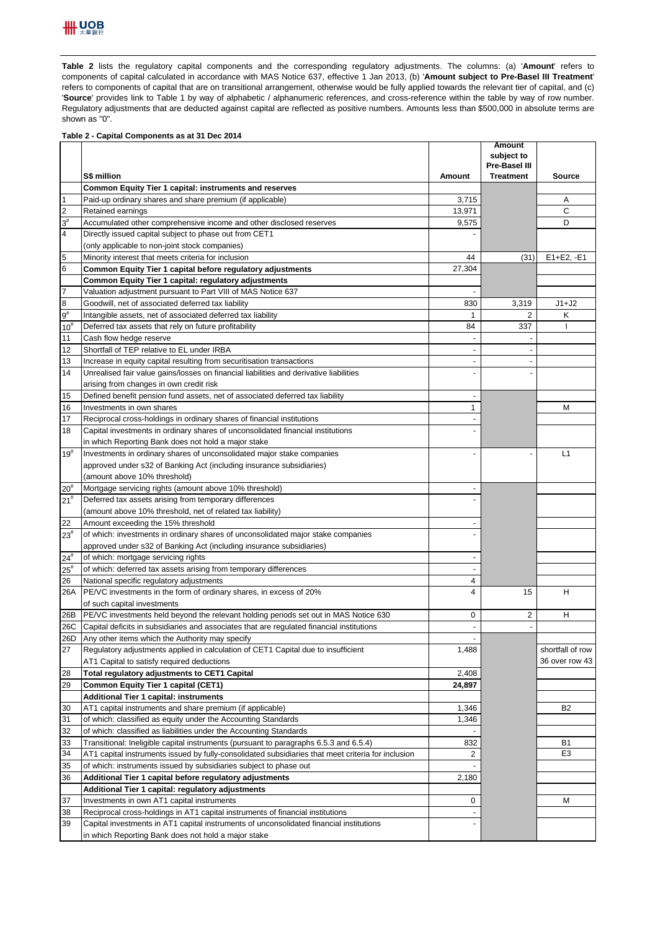

Table 2 lists the regulatory capital components and the corresponding regulatory adjustments. The columns: (a) 'Amount' refers to components of capital calculated in accordance with MAS Notice 637, effective 1 Jan 2013, (b) '**Amount subject to Pre-Basel III Treatment**' refers to components of capital that are on transitional arrangement, otherwise would be fully applied towards the relevant tier of capital, and (c) 'Source' provides link to Table 1 by way of alphabetic / alphanumeric references, and cross-reference within the table by way of row number. Regulatory adjustments that are deducted against capital are reflected as positive numbers. Amounts less than \$500,000 in absolute terms are shown as "0".

## **Table 2 - Capital Components as at 31 Dec 2014**

| <b>Pre-Basel III</b><br>S\$ million<br><b>Treatment</b><br>Amount<br>Source<br>Common Equity Tier 1 capital: instruments and reserves<br>$\mathbf{1}$<br>Paid-up ordinary shares and share premium (if applicable)<br>3,715<br>Α<br>$\overline{c}$<br>13,971<br>C<br>Retained earnings<br>$3^{\sharp}$<br>D<br>Accumulated other comprehensive income and other disclosed reserves<br>9,575<br>$\overline{4}$<br>Directly issued capital subject to phase out from CET1<br>(only applicable to non-joint stock companies)<br>5<br>Minority interest that meets criteria for inclusion<br>44<br>(31)<br>$E1 + E2, -E1$<br>6<br>27,304<br>Common Equity Tier 1 capital before regulatory adjustments<br>Common Equity Tier 1 capital: regulatory adjustments<br>Valuation adjustment pursuant to Part VIII of MAS Notice 637<br>$\overline{a}$<br>8<br>Goodwill, net of associated deferred tax liability<br>830<br>3,319<br>J1+J2<br>$9^{\sharp}$<br>Intangible assets, net of associated deferred tax liability<br>2<br>κ<br>1<br>84<br>337<br>$10^{#}$<br>Deferred tax assets that rely on future profitability<br>11<br>Cash flow hedge reserve<br>Shortfall of TEP relative to EL under IRBA<br>12<br>13<br>Increase in equity capital resulting from securitisation transactions<br>14<br>Unrealised fair value gains/losses on financial liabilities and derivative liabilities<br>arising from changes in own credit risk<br>15<br>Defined benefit pension fund assets, net of associated deferred tax liability<br>16<br>Investments in own shares<br>1<br>M<br>17<br>Reciprocal cross-holdings in ordinary shares of financial institutions<br>18<br>Capital investments in ordinary shares of unconsolidated financial institutions<br>in which Reporting Bank does not hold a major stake<br>$19^{#}$<br>Investments in ordinary shares of unconsolidated major stake companies<br>L1<br>approved under s32 of Banking Act (including insurance subsidiaries)<br>(amount above 10% threshold)<br>Mortgage servicing rights (amount above 10% threshold)<br>$20^{#}$<br>Deferred tax assets arising from temporary differences<br>(amount above 10% threshold, net of related tax liability)<br>22<br>Amount exceeding the 15% threshold<br>$23^{#}$<br>of which: investments in ordinary shares of unconsolidated major stake companies<br>approved under s32 of Banking Act (including insurance subsidiaries)<br>$24^{\#}$<br>of which: mortgage servicing rights<br>$25^{#}$<br>of which: deferred tax assets arising from temporary differences<br>26<br>National specific regulatory adjustments<br>4<br>26A<br>PE/VC investments in the form of ordinary shares, in excess of 20%<br>4<br>15<br>н<br>of such capital investments<br>26B<br>PE/VC investments held beyond the relevant holding periods set out in MAS Notice 630<br>2<br>н<br>0<br>Capital deficits in subsidiaries and associates that are regulated financial institutions<br>26C<br>26D Any other items which the Authority may specify<br>27<br>Regulatory adjustments applied in calculation of CET1 Capital due to insufficient<br>1,488<br>shortfall of row<br>36 over row 43<br>AT1 Capital to satisfy required deductions<br>2,408<br>28<br>Total regulatory adjustments to CET1 Capital<br>29<br><b>Common Equity Tier 1 capital (CET1)</b><br>24,897<br><b>Additional Tier 1 capital: instruments</b><br>30<br>AT1 capital instruments and share premium (if applicable)<br>1,346<br>B <sub>2</sub><br>31<br>of which: classified as equity under the Accounting Standards<br>1,346<br>32<br>of which: classified as liabilities under the Accounting Standards<br>33<br>Transitional: Ineligible capital instruments (pursuant to paragraphs 6.5.3 and 6.5.4)<br>832<br><b>B1</b><br>34<br>E3<br>AT1 capital instruments issued by fully-consolidated subsidiaries that meet criteria for inclusion<br>2<br>35<br>of which: instruments issued by subsidiaries subject to phase out<br>36<br>Additional Tier 1 capital before regulatory adjustments<br>2,180<br>Additional Tier 1 capital: regulatory adjustments<br>37<br>Investments in own AT1 capital instruments<br>0<br>М<br>38<br>Reciprocal cross-holdings in AT1 capital instruments of financial institutions<br>Capital investments in AT1 capital instruments of unconsolidated financial institutions<br>39<br>in which Reporting Bank does not hold a major stake |                |  | Amount<br>subject to |  |
|-----------------------------------------------------------------------------------------------------------------------------------------------------------------------------------------------------------------------------------------------------------------------------------------------------------------------------------------------------------------------------------------------------------------------------------------------------------------------------------------------------------------------------------------------------------------------------------------------------------------------------------------------------------------------------------------------------------------------------------------------------------------------------------------------------------------------------------------------------------------------------------------------------------------------------------------------------------------------------------------------------------------------------------------------------------------------------------------------------------------------------------------------------------------------------------------------------------------------------------------------------------------------------------------------------------------------------------------------------------------------------------------------------------------------------------------------------------------------------------------------------------------------------------------------------------------------------------------------------------------------------------------------------------------------------------------------------------------------------------------------------------------------------------------------------------------------------------------------------------------------------------------------------------------------------------------------------------------------------------------------------------------------------------------------------------------------------------------------------------------------------------------------------------------------------------------------------------------------------------------------------------------------------------------------------------------------------------------------------------------------------------------------------------------------------------------------------------------------------------------------------------------------------------------------------------------------------------------------------------------------------------------------------------------------------------------------------------------------------------------------------------------------------------------------------------------------------------------------------------------------------------------------------------------------------------------------------------------------------------------------------------------------------------------------------------------------------------------------------------------------------------------------------------------------------------------------------------------------------------------------------------------------------------------------------------------------------------------------------------------------------------------------------------------------------------------------------------------------------------------------------------------------------------------------------------------------------------------------------------------------------------------------------------------------------------------------------------------------------------------------------------------------------------------------------------------------------------------------------------------------------------------------------------------------------------------------------------------------------------------------------------------------------------------------------------------------------------------------------------------------------------------------------------------------------------------------------------------------------------------------------------------------------------------------------------------------------------------------------------------------------------------------------------------------------|----------------|--|----------------------|--|
|                                                                                                                                                                                                                                                                                                                                                                                                                                                                                                                                                                                                                                                                                                                                                                                                                                                                                                                                                                                                                                                                                                                                                                                                                                                                                                                                                                                                                                                                                                                                                                                                                                                                                                                                                                                                                                                                                                                                                                                                                                                                                                                                                                                                                                                                                                                                                                                                                                                                                                                                                                                                                                                                                                                                                                                                                                                                                                                                                                                                                                                                                                                                                                                                                                                                                                                                                                                                                                                                                                                                                                                                                                                                                                                                                                                                                                                                                                                                                                                                                                                                                                                                                                                                                                                                                                                                                                                                                             |                |  |                      |  |
|                                                                                                                                                                                                                                                                                                                                                                                                                                                                                                                                                                                                                                                                                                                                                                                                                                                                                                                                                                                                                                                                                                                                                                                                                                                                                                                                                                                                                                                                                                                                                                                                                                                                                                                                                                                                                                                                                                                                                                                                                                                                                                                                                                                                                                                                                                                                                                                                                                                                                                                                                                                                                                                                                                                                                                                                                                                                                                                                                                                                                                                                                                                                                                                                                                                                                                                                                                                                                                                                                                                                                                                                                                                                                                                                                                                                                                                                                                                                                                                                                                                                                                                                                                                                                                                                                                                                                                                                                             |                |  |                      |  |
|                                                                                                                                                                                                                                                                                                                                                                                                                                                                                                                                                                                                                                                                                                                                                                                                                                                                                                                                                                                                                                                                                                                                                                                                                                                                                                                                                                                                                                                                                                                                                                                                                                                                                                                                                                                                                                                                                                                                                                                                                                                                                                                                                                                                                                                                                                                                                                                                                                                                                                                                                                                                                                                                                                                                                                                                                                                                                                                                                                                                                                                                                                                                                                                                                                                                                                                                                                                                                                                                                                                                                                                                                                                                                                                                                                                                                                                                                                                                                                                                                                                                                                                                                                                                                                                                                                                                                                                                                             |                |  |                      |  |
|                                                                                                                                                                                                                                                                                                                                                                                                                                                                                                                                                                                                                                                                                                                                                                                                                                                                                                                                                                                                                                                                                                                                                                                                                                                                                                                                                                                                                                                                                                                                                                                                                                                                                                                                                                                                                                                                                                                                                                                                                                                                                                                                                                                                                                                                                                                                                                                                                                                                                                                                                                                                                                                                                                                                                                                                                                                                                                                                                                                                                                                                                                                                                                                                                                                                                                                                                                                                                                                                                                                                                                                                                                                                                                                                                                                                                                                                                                                                                                                                                                                                                                                                                                                                                                                                                                                                                                                                                             |                |  |                      |  |
|                                                                                                                                                                                                                                                                                                                                                                                                                                                                                                                                                                                                                                                                                                                                                                                                                                                                                                                                                                                                                                                                                                                                                                                                                                                                                                                                                                                                                                                                                                                                                                                                                                                                                                                                                                                                                                                                                                                                                                                                                                                                                                                                                                                                                                                                                                                                                                                                                                                                                                                                                                                                                                                                                                                                                                                                                                                                                                                                                                                                                                                                                                                                                                                                                                                                                                                                                                                                                                                                                                                                                                                                                                                                                                                                                                                                                                                                                                                                                                                                                                                                                                                                                                                                                                                                                                                                                                                                                             |                |  |                      |  |
|                                                                                                                                                                                                                                                                                                                                                                                                                                                                                                                                                                                                                                                                                                                                                                                                                                                                                                                                                                                                                                                                                                                                                                                                                                                                                                                                                                                                                                                                                                                                                                                                                                                                                                                                                                                                                                                                                                                                                                                                                                                                                                                                                                                                                                                                                                                                                                                                                                                                                                                                                                                                                                                                                                                                                                                                                                                                                                                                                                                                                                                                                                                                                                                                                                                                                                                                                                                                                                                                                                                                                                                                                                                                                                                                                                                                                                                                                                                                                                                                                                                                                                                                                                                                                                                                                                                                                                                                                             |                |  |                      |  |
|                                                                                                                                                                                                                                                                                                                                                                                                                                                                                                                                                                                                                                                                                                                                                                                                                                                                                                                                                                                                                                                                                                                                                                                                                                                                                                                                                                                                                                                                                                                                                                                                                                                                                                                                                                                                                                                                                                                                                                                                                                                                                                                                                                                                                                                                                                                                                                                                                                                                                                                                                                                                                                                                                                                                                                                                                                                                                                                                                                                                                                                                                                                                                                                                                                                                                                                                                                                                                                                                                                                                                                                                                                                                                                                                                                                                                                                                                                                                                                                                                                                                                                                                                                                                                                                                                                                                                                                                                             |                |  |                      |  |
|                                                                                                                                                                                                                                                                                                                                                                                                                                                                                                                                                                                                                                                                                                                                                                                                                                                                                                                                                                                                                                                                                                                                                                                                                                                                                                                                                                                                                                                                                                                                                                                                                                                                                                                                                                                                                                                                                                                                                                                                                                                                                                                                                                                                                                                                                                                                                                                                                                                                                                                                                                                                                                                                                                                                                                                                                                                                                                                                                                                                                                                                                                                                                                                                                                                                                                                                                                                                                                                                                                                                                                                                                                                                                                                                                                                                                                                                                                                                                                                                                                                                                                                                                                                                                                                                                                                                                                                                                             |                |  |                      |  |
|                                                                                                                                                                                                                                                                                                                                                                                                                                                                                                                                                                                                                                                                                                                                                                                                                                                                                                                                                                                                                                                                                                                                                                                                                                                                                                                                                                                                                                                                                                                                                                                                                                                                                                                                                                                                                                                                                                                                                                                                                                                                                                                                                                                                                                                                                                                                                                                                                                                                                                                                                                                                                                                                                                                                                                                                                                                                                                                                                                                                                                                                                                                                                                                                                                                                                                                                                                                                                                                                                                                                                                                                                                                                                                                                                                                                                                                                                                                                                                                                                                                                                                                                                                                                                                                                                                                                                                                                                             |                |  |                      |  |
|                                                                                                                                                                                                                                                                                                                                                                                                                                                                                                                                                                                                                                                                                                                                                                                                                                                                                                                                                                                                                                                                                                                                                                                                                                                                                                                                                                                                                                                                                                                                                                                                                                                                                                                                                                                                                                                                                                                                                                                                                                                                                                                                                                                                                                                                                                                                                                                                                                                                                                                                                                                                                                                                                                                                                                                                                                                                                                                                                                                                                                                                                                                                                                                                                                                                                                                                                                                                                                                                                                                                                                                                                                                                                                                                                                                                                                                                                                                                                                                                                                                                                                                                                                                                                                                                                                                                                                                                                             |                |  |                      |  |
|                                                                                                                                                                                                                                                                                                                                                                                                                                                                                                                                                                                                                                                                                                                                                                                                                                                                                                                                                                                                                                                                                                                                                                                                                                                                                                                                                                                                                                                                                                                                                                                                                                                                                                                                                                                                                                                                                                                                                                                                                                                                                                                                                                                                                                                                                                                                                                                                                                                                                                                                                                                                                                                                                                                                                                                                                                                                                                                                                                                                                                                                                                                                                                                                                                                                                                                                                                                                                                                                                                                                                                                                                                                                                                                                                                                                                                                                                                                                                                                                                                                                                                                                                                                                                                                                                                                                                                                                                             |                |  |                      |  |
|                                                                                                                                                                                                                                                                                                                                                                                                                                                                                                                                                                                                                                                                                                                                                                                                                                                                                                                                                                                                                                                                                                                                                                                                                                                                                                                                                                                                                                                                                                                                                                                                                                                                                                                                                                                                                                                                                                                                                                                                                                                                                                                                                                                                                                                                                                                                                                                                                                                                                                                                                                                                                                                                                                                                                                                                                                                                                                                                                                                                                                                                                                                                                                                                                                                                                                                                                                                                                                                                                                                                                                                                                                                                                                                                                                                                                                                                                                                                                                                                                                                                                                                                                                                                                                                                                                                                                                                                                             | $\overline{7}$ |  |                      |  |
|                                                                                                                                                                                                                                                                                                                                                                                                                                                                                                                                                                                                                                                                                                                                                                                                                                                                                                                                                                                                                                                                                                                                                                                                                                                                                                                                                                                                                                                                                                                                                                                                                                                                                                                                                                                                                                                                                                                                                                                                                                                                                                                                                                                                                                                                                                                                                                                                                                                                                                                                                                                                                                                                                                                                                                                                                                                                                                                                                                                                                                                                                                                                                                                                                                                                                                                                                                                                                                                                                                                                                                                                                                                                                                                                                                                                                                                                                                                                                                                                                                                                                                                                                                                                                                                                                                                                                                                                                             |                |  |                      |  |
|                                                                                                                                                                                                                                                                                                                                                                                                                                                                                                                                                                                                                                                                                                                                                                                                                                                                                                                                                                                                                                                                                                                                                                                                                                                                                                                                                                                                                                                                                                                                                                                                                                                                                                                                                                                                                                                                                                                                                                                                                                                                                                                                                                                                                                                                                                                                                                                                                                                                                                                                                                                                                                                                                                                                                                                                                                                                                                                                                                                                                                                                                                                                                                                                                                                                                                                                                                                                                                                                                                                                                                                                                                                                                                                                                                                                                                                                                                                                                                                                                                                                                                                                                                                                                                                                                                                                                                                                                             |                |  |                      |  |
|                                                                                                                                                                                                                                                                                                                                                                                                                                                                                                                                                                                                                                                                                                                                                                                                                                                                                                                                                                                                                                                                                                                                                                                                                                                                                                                                                                                                                                                                                                                                                                                                                                                                                                                                                                                                                                                                                                                                                                                                                                                                                                                                                                                                                                                                                                                                                                                                                                                                                                                                                                                                                                                                                                                                                                                                                                                                                                                                                                                                                                                                                                                                                                                                                                                                                                                                                                                                                                                                                                                                                                                                                                                                                                                                                                                                                                                                                                                                                                                                                                                                                                                                                                                                                                                                                                                                                                                                                             |                |  |                      |  |
|                                                                                                                                                                                                                                                                                                                                                                                                                                                                                                                                                                                                                                                                                                                                                                                                                                                                                                                                                                                                                                                                                                                                                                                                                                                                                                                                                                                                                                                                                                                                                                                                                                                                                                                                                                                                                                                                                                                                                                                                                                                                                                                                                                                                                                                                                                                                                                                                                                                                                                                                                                                                                                                                                                                                                                                                                                                                                                                                                                                                                                                                                                                                                                                                                                                                                                                                                                                                                                                                                                                                                                                                                                                                                                                                                                                                                                                                                                                                                                                                                                                                                                                                                                                                                                                                                                                                                                                                                             |                |  |                      |  |
|                                                                                                                                                                                                                                                                                                                                                                                                                                                                                                                                                                                                                                                                                                                                                                                                                                                                                                                                                                                                                                                                                                                                                                                                                                                                                                                                                                                                                                                                                                                                                                                                                                                                                                                                                                                                                                                                                                                                                                                                                                                                                                                                                                                                                                                                                                                                                                                                                                                                                                                                                                                                                                                                                                                                                                                                                                                                                                                                                                                                                                                                                                                                                                                                                                                                                                                                                                                                                                                                                                                                                                                                                                                                                                                                                                                                                                                                                                                                                                                                                                                                                                                                                                                                                                                                                                                                                                                                                             |                |  |                      |  |
|                                                                                                                                                                                                                                                                                                                                                                                                                                                                                                                                                                                                                                                                                                                                                                                                                                                                                                                                                                                                                                                                                                                                                                                                                                                                                                                                                                                                                                                                                                                                                                                                                                                                                                                                                                                                                                                                                                                                                                                                                                                                                                                                                                                                                                                                                                                                                                                                                                                                                                                                                                                                                                                                                                                                                                                                                                                                                                                                                                                                                                                                                                                                                                                                                                                                                                                                                                                                                                                                                                                                                                                                                                                                                                                                                                                                                                                                                                                                                                                                                                                                                                                                                                                                                                                                                                                                                                                                                             |                |  |                      |  |
|                                                                                                                                                                                                                                                                                                                                                                                                                                                                                                                                                                                                                                                                                                                                                                                                                                                                                                                                                                                                                                                                                                                                                                                                                                                                                                                                                                                                                                                                                                                                                                                                                                                                                                                                                                                                                                                                                                                                                                                                                                                                                                                                                                                                                                                                                                                                                                                                                                                                                                                                                                                                                                                                                                                                                                                                                                                                                                                                                                                                                                                                                                                                                                                                                                                                                                                                                                                                                                                                                                                                                                                                                                                                                                                                                                                                                                                                                                                                                                                                                                                                                                                                                                                                                                                                                                                                                                                                                             |                |  |                      |  |
|                                                                                                                                                                                                                                                                                                                                                                                                                                                                                                                                                                                                                                                                                                                                                                                                                                                                                                                                                                                                                                                                                                                                                                                                                                                                                                                                                                                                                                                                                                                                                                                                                                                                                                                                                                                                                                                                                                                                                                                                                                                                                                                                                                                                                                                                                                                                                                                                                                                                                                                                                                                                                                                                                                                                                                                                                                                                                                                                                                                                                                                                                                                                                                                                                                                                                                                                                                                                                                                                                                                                                                                                                                                                                                                                                                                                                                                                                                                                                                                                                                                                                                                                                                                                                                                                                                                                                                                                                             |                |  |                      |  |
|                                                                                                                                                                                                                                                                                                                                                                                                                                                                                                                                                                                                                                                                                                                                                                                                                                                                                                                                                                                                                                                                                                                                                                                                                                                                                                                                                                                                                                                                                                                                                                                                                                                                                                                                                                                                                                                                                                                                                                                                                                                                                                                                                                                                                                                                                                                                                                                                                                                                                                                                                                                                                                                                                                                                                                                                                                                                                                                                                                                                                                                                                                                                                                                                                                                                                                                                                                                                                                                                                                                                                                                                                                                                                                                                                                                                                                                                                                                                                                                                                                                                                                                                                                                                                                                                                                                                                                                                                             |                |  |                      |  |
|                                                                                                                                                                                                                                                                                                                                                                                                                                                                                                                                                                                                                                                                                                                                                                                                                                                                                                                                                                                                                                                                                                                                                                                                                                                                                                                                                                                                                                                                                                                                                                                                                                                                                                                                                                                                                                                                                                                                                                                                                                                                                                                                                                                                                                                                                                                                                                                                                                                                                                                                                                                                                                                                                                                                                                                                                                                                                                                                                                                                                                                                                                                                                                                                                                                                                                                                                                                                                                                                                                                                                                                                                                                                                                                                                                                                                                                                                                                                                                                                                                                                                                                                                                                                                                                                                                                                                                                                                             |                |  |                      |  |
|                                                                                                                                                                                                                                                                                                                                                                                                                                                                                                                                                                                                                                                                                                                                                                                                                                                                                                                                                                                                                                                                                                                                                                                                                                                                                                                                                                                                                                                                                                                                                                                                                                                                                                                                                                                                                                                                                                                                                                                                                                                                                                                                                                                                                                                                                                                                                                                                                                                                                                                                                                                                                                                                                                                                                                                                                                                                                                                                                                                                                                                                                                                                                                                                                                                                                                                                                                                                                                                                                                                                                                                                                                                                                                                                                                                                                                                                                                                                                                                                                                                                                                                                                                                                                                                                                                                                                                                                                             |                |  |                      |  |
|                                                                                                                                                                                                                                                                                                                                                                                                                                                                                                                                                                                                                                                                                                                                                                                                                                                                                                                                                                                                                                                                                                                                                                                                                                                                                                                                                                                                                                                                                                                                                                                                                                                                                                                                                                                                                                                                                                                                                                                                                                                                                                                                                                                                                                                                                                                                                                                                                                                                                                                                                                                                                                                                                                                                                                                                                                                                                                                                                                                                                                                                                                                                                                                                                                                                                                                                                                                                                                                                                                                                                                                                                                                                                                                                                                                                                                                                                                                                                                                                                                                                                                                                                                                                                                                                                                                                                                                                                             |                |  |                      |  |
|                                                                                                                                                                                                                                                                                                                                                                                                                                                                                                                                                                                                                                                                                                                                                                                                                                                                                                                                                                                                                                                                                                                                                                                                                                                                                                                                                                                                                                                                                                                                                                                                                                                                                                                                                                                                                                                                                                                                                                                                                                                                                                                                                                                                                                                                                                                                                                                                                                                                                                                                                                                                                                                                                                                                                                                                                                                                                                                                                                                                                                                                                                                                                                                                                                                                                                                                                                                                                                                                                                                                                                                                                                                                                                                                                                                                                                                                                                                                                                                                                                                                                                                                                                                                                                                                                                                                                                                                                             |                |  |                      |  |
|                                                                                                                                                                                                                                                                                                                                                                                                                                                                                                                                                                                                                                                                                                                                                                                                                                                                                                                                                                                                                                                                                                                                                                                                                                                                                                                                                                                                                                                                                                                                                                                                                                                                                                                                                                                                                                                                                                                                                                                                                                                                                                                                                                                                                                                                                                                                                                                                                                                                                                                                                                                                                                                                                                                                                                                                                                                                                                                                                                                                                                                                                                                                                                                                                                                                                                                                                                                                                                                                                                                                                                                                                                                                                                                                                                                                                                                                                                                                                                                                                                                                                                                                                                                                                                                                                                                                                                                                                             |                |  |                      |  |
|                                                                                                                                                                                                                                                                                                                                                                                                                                                                                                                                                                                                                                                                                                                                                                                                                                                                                                                                                                                                                                                                                                                                                                                                                                                                                                                                                                                                                                                                                                                                                                                                                                                                                                                                                                                                                                                                                                                                                                                                                                                                                                                                                                                                                                                                                                                                                                                                                                                                                                                                                                                                                                                                                                                                                                                                                                                                                                                                                                                                                                                                                                                                                                                                                                                                                                                                                                                                                                                                                                                                                                                                                                                                                                                                                                                                                                                                                                                                                                                                                                                                                                                                                                                                                                                                                                                                                                                                                             |                |  |                      |  |
|                                                                                                                                                                                                                                                                                                                                                                                                                                                                                                                                                                                                                                                                                                                                                                                                                                                                                                                                                                                                                                                                                                                                                                                                                                                                                                                                                                                                                                                                                                                                                                                                                                                                                                                                                                                                                                                                                                                                                                                                                                                                                                                                                                                                                                                                                                                                                                                                                                                                                                                                                                                                                                                                                                                                                                                                                                                                                                                                                                                                                                                                                                                                                                                                                                                                                                                                                                                                                                                                                                                                                                                                                                                                                                                                                                                                                                                                                                                                                                                                                                                                                                                                                                                                                                                                                                                                                                                                                             |                |  |                      |  |
|                                                                                                                                                                                                                                                                                                                                                                                                                                                                                                                                                                                                                                                                                                                                                                                                                                                                                                                                                                                                                                                                                                                                                                                                                                                                                                                                                                                                                                                                                                                                                                                                                                                                                                                                                                                                                                                                                                                                                                                                                                                                                                                                                                                                                                                                                                                                                                                                                                                                                                                                                                                                                                                                                                                                                                                                                                                                                                                                                                                                                                                                                                                                                                                                                                                                                                                                                                                                                                                                                                                                                                                                                                                                                                                                                                                                                                                                                                                                                                                                                                                                                                                                                                                                                                                                                                                                                                                                                             |                |  |                      |  |
|                                                                                                                                                                                                                                                                                                                                                                                                                                                                                                                                                                                                                                                                                                                                                                                                                                                                                                                                                                                                                                                                                                                                                                                                                                                                                                                                                                                                                                                                                                                                                                                                                                                                                                                                                                                                                                                                                                                                                                                                                                                                                                                                                                                                                                                                                                                                                                                                                                                                                                                                                                                                                                                                                                                                                                                                                                                                                                                                                                                                                                                                                                                                                                                                                                                                                                                                                                                                                                                                                                                                                                                                                                                                                                                                                                                                                                                                                                                                                                                                                                                                                                                                                                                                                                                                                                                                                                                                                             | $21^{#}$       |  |                      |  |
|                                                                                                                                                                                                                                                                                                                                                                                                                                                                                                                                                                                                                                                                                                                                                                                                                                                                                                                                                                                                                                                                                                                                                                                                                                                                                                                                                                                                                                                                                                                                                                                                                                                                                                                                                                                                                                                                                                                                                                                                                                                                                                                                                                                                                                                                                                                                                                                                                                                                                                                                                                                                                                                                                                                                                                                                                                                                                                                                                                                                                                                                                                                                                                                                                                                                                                                                                                                                                                                                                                                                                                                                                                                                                                                                                                                                                                                                                                                                                                                                                                                                                                                                                                                                                                                                                                                                                                                                                             |                |  |                      |  |
|                                                                                                                                                                                                                                                                                                                                                                                                                                                                                                                                                                                                                                                                                                                                                                                                                                                                                                                                                                                                                                                                                                                                                                                                                                                                                                                                                                                                                                                                                                                                                                                                                                                                                                                                                                                                                                                                                                                                                                                                                                                                                                                                                                                                                                                                                                                                                                                                                                                                                                                                                                                                                                                                                                                                                                                                                                                                                                                                                                                                                                                                                                                                                                                                                                                                                                                                                                                                                                                                                                                                                                                                                                                                                                                                                                                                                                                                                                                                                                                                                                                                                                                                                                                                                                                                                                                                                                                                                             |                |  |                      |  |
|                                                                                                                                                                                                                                                                                                                                                                                                                                                                                                                                                                                                                                                                                                                                                                                                                                                                                                                                                                                                                                                                                                                                                                                                                                                                                                                                                                                                                                                                                                                                                                                                                                                                                                                                                                                                                                                                                                                                                                                                                                                                                                                                                                                                                                                                                                                                                                                                                                                                                                                                                                                                                                                                                                                                                                                                                                                                                                                                                                                                                                                                                                                                                                                                                                                                                                                                                                                                                                                                                                                                                                                                                                                                                                                                                                                                                                                                                                                                                                                                                                                                                                                                                                                                                                                                                                                                                                                                                             |                |  |                      |  |
|                                                                                                                                                                                                                                                                                                                                                                                                                                                                                                                                                                                                                                                                                                                                                                                                                                                                                                                                                                                                                                                                                                                                                                                                                                                                                                                                                                                                                                                                                                                                                                                                                                                                                                                                                                                                                                                                                                                                                                                                                                                                                                                                                                                                                                                                                                                                                                                                                                                                                                                                                                                                                                                                                                                                                                                                                                                                                                                                                                                                                                                                                                                                                                                                                                                                                                                                                                                                                                                                                                                                                                                                                                                                                                                                                                                                                                                                                                                                                                                                                                                                                                                                                                                                                                                                                                                                                                                                                             |                |  |                      |  |
|                                                                                                                                                                                                                                                                                                                                                                                                                                                                                                                                                                                                                                                                                                                                                                                                                                                                                                                                                                                                                                                                                                                                                                                                                                                                                                                                                                                                                                                                                                                                                                                                                                                                                                                                                                                                                                                                                                                                                                                                                                                                                                                                                                                                                                                                                                                                                                                                                                                                                                                                                                                                                                                                                                                                                                                                                                                                                                                                                                                                                                                                                                                                                                                                                                                                                                                                                                                                                                                                                                                                                                                                                                                                                                                                                                                                                                                                                                                                                                                                                                                                                                                                                                                                                                                                                                                                                                                                                             |                |  |                      |  |
|                                                                                                                                                                                                                                                                                                                                                                                                                                                                                                                                                                                                                                                                                                                                                                                                                                                                                                                                                                                                                                                                                                                                                                                                                                                                                                                                                                                                                                                                                                                                                                                                                                                                                                                                                                                                                                                                                                                                                                                                                                                                                                                                                                                                                                                                                                                                                                                                                                                                                                                                                                                                                                                                                                                                                                                                                                                                                                                                                                                                                                                                                                                                                                                                                                                                                                                                                                                                                                                                                                                                                                                                                                                                                                                                                                                                                                                                                                                                                                                                                                                                                                                                                                                                                                                                                                                                                                                                                             |                |  |                      |  |
|                                                                                                                                                                                                                                                                                                                                                                                                                                                                                                                                                                                                                                                                                                                                                                                                                                                                                                                                                                                                                                                                                                                                                                                                                                                                                                                                                                                                                                                                                                                                                                                                                                                                                                                                                                                                                                                                                                                                                                                                                                                                                                                                                                                                                                                                                                                                                                                                                                                                                                                                                                                                                                                                                                                                                                                                                                                                                                                                                                                                                                                                                                                                                                                                                                                                                                                                                                                                                                                                                                                                                                                                                                                                                                                                                                                                                                                                                                                                                                                                                                                                                                                                                                                                                                                                                                                                                                                                                             |                |  |                      |  |
|                                                                                                                                                                                                                                                                                                                                                                                                                                                                                                                                                                                                                                                                                                                                                                                                                                                                                                                                                                                                                                                                                                                                                                                                                                                                                                                                                                                                                                                                                                                                                                                                                                                                                                                                                                                                                                                                                                                                                                                                                                                                                                                                                                                                                                                                                                                                                                                                                                                                                                                                                                                                                                                                                                                                                                                                                                                                                                                                                                                                                                                                                                                                                                                                                                                                                                                                                                                                                                                                                                                                                                                                                                                                                                                                                                                                                                                                                                                                                                                                                                                                                                                                                                                                                                                                                                                                                                                                                             |                |  |                      |  |
|                                                                                                                                                                                                                                                                                                                                                                                                                                                                                                                                                                                                                                                                                                                                                                                                                                                                                                                                                                                                                                                                                                                                                                                                                                                                                                                                                                                                                                                                                                                                                                                                                                                                                                                                                                                                                                                                                                                                                                                                                                                                                                                                                                                                                                                                                                                                                                                                                                                                                                                                                                                                                                                                                                                                                                                                                                                                                                                                                                                                                                                                                                                                                                                                                                                                                                                                                                                                                                                                                                                                                                                                                                                                                                                                                                                                                                                                                                                                                                                                                                                                                                                                                                                                                                                                                                                                                                                                                             |                |  |                      |  |
|                                                                                                                                                                                                                                                                                                                                                                                                                                                                                                                                                                                                                                                                                                                                                                                                                                                                                                                                                                                                                                                                                                                                                                                                                                                                                                                                                                                                                                                                                                                                                                                                                                                                                                                                                                                                                                                                                                                                                                                                                                                                                                                                                                                                                                                                                                                                                                                                                                                                                                                                                                                                                                                                                                                                                                                                                                                                                                                                                                                                                                                                                                                                                                                                                                                                                                                                                                                                                                                                                                                                                                                                                                                                                                                                                                                                                                                                                                                                                                                                                                                                                                                                                                                                                                                                                                                                                                                                                             |                |  |                      |  |
|                                                                                                                                                                                                                                                                                                                                                                                                                                                                                                                                                                                                                                                                                                                                                                                                                                                                                                                                                                                                                                                                                                                                                                                                                                                                                                                                                                                                                                                                                                                                                                                                                                                                                                                                                                                                                                                                                                                                                                                                                                                                                                                                                                                                                                                                                                                                                                                                                                                                                                                                                                                                                                                                                                                                                                                                                                                                                                                                                                                                                                                                                                                                                                                                                                                                                                                                                                                                                                                                                                                                                                                                                                                                                                                                                                                                                                                                                                                                                                                                                                                                                                                                                                                                                                                                                                                                                                                                                             |                |  |                      |  |
|                                                                                                                                                                                                                                                                                                                                                                                                                                                                                                                                                                                                                                                                                                                                                                                                                                                                                                                                                                                                                                                                                                                                                                                                                                                                                                                                                                                                                                                                                                                                                                                                                                                                                                                                                                                                                                                                                                                                                                                                                                                                                                                                                                                                                                                                                                                                                                                                                                                                                                                                                                                                                                                                                                                                                                                                                                                                                                                                                                                                                                                                                                                                                                                                                                                                                                                                                                                                                                                                                                                                                                                                                                                                                                                                                                                                                                                                                                                                                                                                                                                                                                                                                                                                                                                                                                                                                                                                                             |                |  |                      |  |
|                                                                                                                                                                                                                                                                                                                                                                                                                                                                                                                                                                                                                                                                                                                                                                                                                                                                                                                                                                                                                                                                                                                                                                                                                                                                                                                                                                                                                                                                                                                                                                                                                                                                                                                                                                                                                                                                                                                                                                                                                                                                                                                                                                                                                                                                                                                                                                                                                                                                                                                                                                                                                                                                                                                                                                                                                                                                                                                                                                                                                                                                                                                                                                                                                                                                                                                                                                                                                                                                                                                                                                                                                                                                                                                                                                                                                                                                                                                                                                                                                                                                                                                                                                                                                                                                                                                                                                                                                             |                |  |                      |  |
|                                                                                                                                                                                                                                                                                                                                                                                                                                                                                                                                                                                                                                                                                                                                                                                                                                                                                                                                                                                                                                                                                                                                                                                                                                                                                                                                                                                                                                                                                                                                                                                                                                                                                                                                                                                                                                                                                                                                                                                                                                                                                                                                                                                                                                                                                                                                                                                                                                                                                                                                                                                                                                                                                                                                                                                                                                                                                                                                                                                                                                                                                                                                                                                                                                                                                                                                                                                                                                                                                                                                                                                                                                                                                                                                                                                                                                                                                                                                                                                                                                                                                                                                                                                                                                                                                                                                                                                                                             |                |  |                      |  |
|                                                                                                                                                                                                                                                                                                                                                                                                                                                                                                                                                                                                                                                                                                                                                                                                                                                                                                                                                                                                                                                                                                                                                                                                                                                                                                                                                                                                                                                                                                                                                                                                                                                                                                                                                                                                                                                                                                                                                                                                                                                                                                                                                                                                                                                                                                                                                                                                                                                                                                                                                                                                                                                                                                                                                                                                                                                                                                                                                                                                                                                                                                                                                                                                                                                                                                                                                                                                                                                                                                                                                                                                                                                                                                                                                                                                                                                                                                                                                                                                                                                                                                                                                                                                                                                                                                                                                                                                                             |                |  |                      |  |
|                                                                                                                                                                                                                                                                                                                                                                                                                                                                                                                                                                                                                                                                                                                                                                                                                                                                                                                                                                                                                                                                                                                                                                                                                                                                                                                                                                                                                                                                                                                                                                                                                                                                                                                                                                                                                                                                                                                                                                                                                                                                                                                                                                                                                                                                                                                                                                                                                                                                                                                                                                                                                                                                                                                                                                                                                                                                                                                                                                                                                                                                                                                                                                                                                                                                                                                                                                                                                                                                                                                                                                                                                                                                                                                                                                                                                                                                                                                                                                                                                                                                                                                                                                                                                                                                                                                                                                                                                             |                |  |                      |  |
|                                                                                                                                                                                                                                                                                                                                                                                                                                                                                                                                                                                                                                                                                                                                                                                                                                                                                                                                                                                                                                                                                                                                                                                                                                                                                                                                                                                                                                                                                                                                                                                                                                                                                                                                                                                                                                                                                                                                                                                                                                                                                                                                                                                                                                                                                                                                                                                                                                                                                                                                                                                                                                                                                                                                                                                                                                                                                                                                                                                                                                                                                                                                                                                                                                                                                                                                                                                                                                                                                                                                                                                                                                                                                                                                                                                                                                                                                                                                                                                                                                                                                                                                                                                                                                                                                                                                                                                                                             |                |  |                      |  |
|                                                                                                                                                                                                                                                                                                                                                                                                                                                                                                                                                                                                                                                                                                                                                                                                                                                                                                                                                                                                                                                                                                                                                                                                                                                                                                                                                                                                                                                                                                                                                                                                                                                                                                                                                                                                                                                                                                                                                                                                                                                                                                                                                                                                                                                                                                                                                                                                                                                                                                                                                                                                                                                                                                                                                                                                                                                                                                                                                                                                                                                                                                                                                                                                                                                                                                                                                                                                                                                                                                                                                                                                                                                                                                                                                                                                                                                                                                                                                                                                                                                                                                                                                                                                                                                                                                                                                                                                                             |                |  |                      |  |
|                                                                                                                                                                                                                                                                                                                                                                                                                                                                                                                                                                                                                                                                                                                                                                                                                                                                                                                                                                                                                                                                                                                                                                                                                                                                                                                                                                                                                                                                                                                                                                                                                                                                                                                                                                                                                                                                                                                                                                                                                                                                                                                                                                                                                                                                                                                                                                                                                                                                                                                                                                                                                                                                                                                                                                                                                                                                                                                                                                                                                                                                                                                                                                                                                                                                                                                                                                                                                                                                                                                                                                                                                                                                                                                                                                                                                                                                                                                                                                                                                                                                                                                                                                                                                                                                                                                                                                                                                             |                |  |                      |  |
|                                                                                                                                                                                                                                                                                                                                                                                                                                                                                                                                                                                                                                                                                                                                                                                                                                                                                                                                                                                                                                                                                                                                                                                                                                                                                                                                                                                                                                                                                                                                                                                                                                                                                                                                                                                                                                                                                                                                                                                                                                                                                                                                                                                                                                                                                                                                                                                                                                                                                                                                                                                                                                                                                                                                                                                                                                                                                                                                                                                                                                                                                                                                                                                                                                                                                                                                                                                                                                                                                                                                                                                                                                                                                                                                                                                                                                                                                                                                                                                                                                                                                                                                                                                                                                                                                                                                                                                                                             |                |  |                      |  |
|                                                                                                                                                                                                                                                                                                                                                                                                                                                                                                                                                                                                                                                                                                                                                                                                                                                                                                                                                                                                                                                                                                                                                                                                                                                                                                                                                                                                                                                                                                                                                                                                                                                                                                                                                                                                                                                                                                                                                                                                                                                                                                                                                                                                                                                                                                                                                                                                                                                                                                                                                                                                                                                                                                                                                                                                                                                                                                                                                                                                                                                                                                                                                                                                                                                                                                                                                                                                                                                                                                                                                                                                                                                                                                                                                                                                                                                                                                                                                                                                                                                                                                                                                                                                                                                                                                                                                                                                                             |                |  |                      |  |
|                                                                                                                                                                                                                                                                                                                                                                                                                                                                                                                                                                                                                                                                                                                                                                                                                                                                                                                                                                                                                                                                                                                                                                                                                                                                                                                                                                                                                                                                                                                                                                                                                                                                                                                                                                                                                                                                                                                                                                                                                                                                                                                                                                                                                                                                                                                                                                                                                                                                                                                                                                                                                                                                                                                                                                                                                                                                                                                                                                                                                                                                                                                                                                                                                                                                                                                                                                                                                                                                                                                                                                                                                                                                                                                                                                                                                                                                                                                                                                                                                                                                                                                                                                                                                                                                                                                                                                                                                             |                |  |                      |  |
|                                                                                                                                                                                                                                                                                                                                                                                                                                                                                                                                                                                                                                                                                                                                                                                                                                                                                                                                                                                                                                                                                                                                                                                                                                                                                                                                                                                                                                                                                                                                                                                                                                                                                                                                                                                                                                                                                                                                                                                                                                                                                                                                                                                                                                                                                                                                                                                                                                                                                                                                                                                                                                                                                                                                                                                                                                                                                                                                                                                                                                                                                                                                                                                                                                                                                                                                                                                                                                                                                                                                                                                                                                                                                                                                                                                                                                                                                                                                                                                                                                                                                                                                                                                                                                                                                                                                                                                                                             |                |  |                      |  |
|                                                                                                                                                                                                                                                                                                                                                                                                                                                                                                                                                                                                                                                                                                                                                                                                                                                                                                                                                                                                                                                                                                                                                                                                                                                                                                                                                                                                                                                                                                                                                                                                                                                                                                                                                                                                                                                                                                                                                                                                                                                                                                                                                                                                                                                                                                                                                                                                                                                                                                                                                                                                                                                                                                                                                                                                                                                                                                                                                                                                                                                                                                                                                                                                                                                                                                                                                                                                                                                                                                                                                                                                                                                                                                                                                                                                                                                                                                                                                                                                                                                                                                                                                                                                                                                                                                                                                                                                                             |                |  |                      |  |
|                                                                                                                                                                                                                                                                                                                                                                                                                                                                                                                                                                                                                                                                                                                                                                                                                                                                                                                                                                                                                                                                                                                                                                                                                                                                                                                                                                                                                                                                                                                                                                                                                                                                                                                                                                                                                                                                                                                                                                                                                                                                                                                                                                                                                                                                                                                                                                                                                                                                                                                                                                                                                                                                                                                                                                                                                                                                                                                                                                                                                                                                                                                                                                                                                                                                                                                                                                                                                                                                                                                                                                                                                                                                                                                                                                                                                                                                                                                                                                                                                                                                                                                                                                                                                                                                                                                                                                                                                             |                |  |                      |  |
|                                                                                                                                                                                                                                                                                                                                                                                                                                                                                                                                                                                                                                                                                                                                                                                                                                                                                                                                                                                                                                                                                                                                                                                                                                                                                                                                                                                                                                                                                                                                                                                                                                                                                                                                                                                                                                                                                                                                                                                                                                                                                                                                                                                                                                                                                                                                                                                                                                                                                                                                                                                                                                                                                                                                                                                                                                                                                                                                                                                                                                                                                                                                                                                                                                                                                                                                                                                                                                                                                                                                                                                                                                                                                                                                                                                                                                                                                                                                                                                                                                                                                                                                                                                                                                                                                                                                                                                                                             |                |  |                      |  |
|                                                                                                                                                                                                                                                                                                                                                                                                                                                                                                                                                                                                                                                                                                                                                                                                                                                                                                                                                                                                                                                                                                                                                                                                                                                                                                                                                                                                                                                                                                                                                                                                                                                                                                                                                                                                                                                                                                                                                                                                                                                                                                                                                                                                                                                                                                                                                                                                                                                                                                                                                                                                                                                                                                                                                                                                                                                                                                                                                                                                                                                                                                                                                                                                                                                                                                                                                                                                                                                                                                                                                                                                                                                                                                                                                                                                                                                                                                                                                                                                                                                                                                                                                                                                                                                                                                                                                                                                                             |                |  |                      |  |
|                                                                                                                                                                                                                                                                                                                                                                                                                                                                                                                                                                                                                                                                                                                                                                                                                                                                                                                                                                                                                                                                                                                                                                                                                                                                                                                                                                                                                                                                                                                                                                                                                                                                                                                                                                                                                                                                                                                                                                                                                                                                                                                                                                                                                                                                                                                                                                                                                                                                                                                                                                                                                                                                                                                                                                                                                                                                                                                                                                                                                                                                                                                                                                                                                                                                                                                                                                                                                                                                                                                                                                                                                                                                                                                                                                                                                                                                                                                                                                                                                                                                                                                                                                                                                                                                                                                                                                                                                             |                |  |                      |  |
|                                                                                                                                                                                                                                                                                                                                                                                                                                                                                                                                                                                                                                                                                                                                                                                                                                                                                                                                                                                                                                                                                                                                                                                                                                                                                                                                                                                                                                                                                                                                                                                                                                                                                                                                                                                                                                                                                                                                                                                                                                                                                                                                                                                                                                                                                                                                                                                                                                                                                                                                                                                                                                                                                                                                                                                                                                                                                                                                                                                                                                                                                                                                                                                                                                                                                                                                                                                                                                                                                                                                                                                                                                                                                                                                                                                                                                                                                                                                                                                                                                                                                                                                                                                                                                                                                                                                                                                                                             |                |  |                      |  |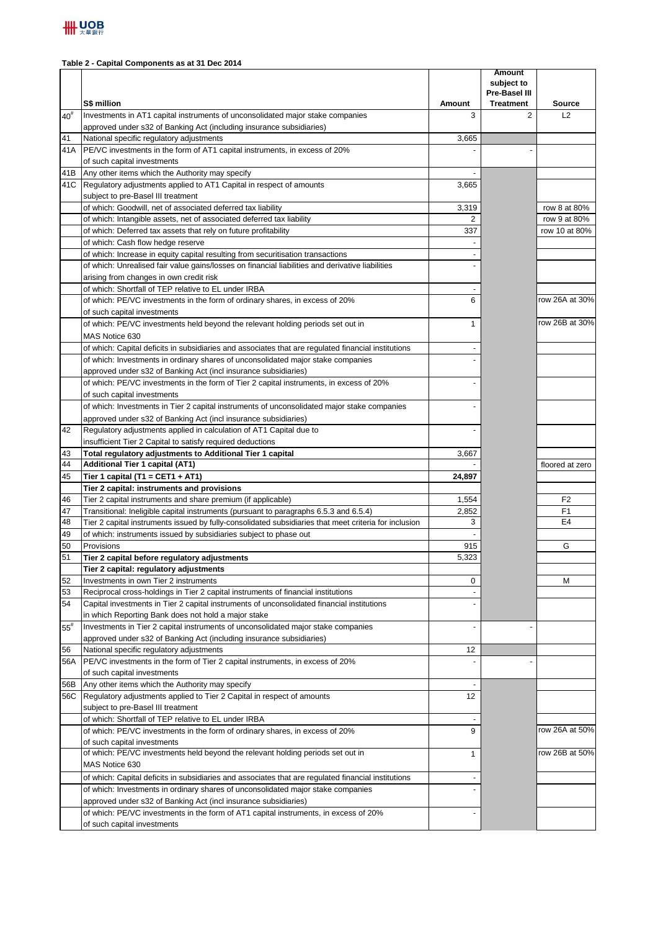## **Table 2 - Capital Components as at 31 Dec 2014**

|          |                                                                                                                                                                                     |              | <b>Amount</b><br>subject to<br><b>Pre-Basel III</b> |                     |
|----------|-------------------------------------------------------------------------------------------------------------------------------------------------------------------------------------|--------------|-----------------------------------------------------|---------------------|
|          | S\$ million                                                                                                                                                                         | Amount       | <b>Treatment</b>                                    | <b>Source</b><br>L2 |
| $40^{#}$ | Investments in AT1 capital instruments of unconsolidated major stake companies<br>approved under s32 of Banking Act (including insurance subsidiaries)                              | 3            | 2                                                   |                     |
| 41       | National specific regulatory adjustments                                                                                                                                            | 3,665        |                                                     |                     |
| 41A      | PE/VC investments in the form of AT1 capital instruments, in excess of 20%                                                                                                          |              |                                                     |                     |
|          | of such capital investments                                                                                                                                                         |              |                                                     |                     |
| 41B      | Any other items which the Authority may specify                                                                                                                                     |              |                                                     |                     |
| 41C      | Regulatory adjustments applied to AT1 Capital in respect of amounts                                                                                                                 | 3,665        |                                                     |                     |
|          | subject to pre-Basel III treatment                                                                                                                                                  |              |                                                     |                     |
|          | of which: Goodwill, net of associated deferred tax liability                                                                                                                        | 3,319        |                                                     | row 8 at 80%        |
|          | of which: Intangible assets, net of associated deferred tax liability                                                                                                               | 2            |                                                     | row 9 at 80%        |
|          | of which: Deferred tax assets that rely on future profitability                                                                                                                     | 337          |                                                     | row 10 at 80%       |
|          | of which: Cash flow hedge reserve                                                                                                                                                   |              |                                                     |                     |
|          | of which: Increase in equity capital resulting from securitisation transactions<br>of which: Unrealised fair value gains/losses on financial liabilities and derivative liabilities |              |                                                     |                     |
|          | arising from changes in own credit risk                                                                                                                                             |              |                                                     |                     |
|          | of which: Shortfall of TEP relative to EL under IRBA                                                                                                                                |              |                                                     |                     |
|          | of which: PE/VC investments in the form of ordinary shares, in excess of 20%                                                                                                        | 6            |                                                     | row 26A at 30%      |
|          | of such capital investments                                                                                                                                                         |              |                                                     |                     |
|          | of which: PE/VC investments held beyond the relevant holding periods set out in                                                                                                     | $\mathbf{1}$ |                                                     | row 26B at 30%      |
|          | MAS Notice 630                                                                                                                                                                      |              |                                                     |                     |
|          | of which: Capital deficits in subsidiaries and associates that are regulated financial institutions                                                                                 |              |                                                     |                     |
|          | of which: Investments in ordinary shares of unconsolidated major stake companies                                                                                                    |              |                                                     |                     |
|          | approved under s32 of Banking Act (incl insurance subsidiaries)                                                                                                                     |              |                                                     |                     |
|          | of which: PE/VC investments in the form of Tier 2 capital instruments, in excess of 20%                                                                                             |              |                                                     |                     |
|          | of such capital investments                                                                                                                                                         |              |                                                     |                     |
|          | of which: Investments in Tier 2 capital instruments of unconsolidated major stake companies                                                                                         |              |                                                     |                     |
|          | approved under s32 of Banking Act (incl insurance subsidiaries)                                                                                                                     |              |                                                     |                     |
| 42       | Regulatory adjustments applied in calculation of AT1 Capital due to                                                                                                                 |              |                                                     |                     |
|          | insufficient Tier 2 Capital to satisfy required deductions                                                                                                                          |              |                                                     |                     |
| 43       | Total regulatory adjustments to Additional Tier 1 capital                                                                                                                           | 3,667        |                                                     |                     |
| 44       | Additional Tier 1 capital (AT1)                                                                                                                                                     |              |                                                     | floored at zero     |
| 45       | Tier 1 capital (T1 = CET1 + AT1)<br>Tier 2 capital: instruments and provisions                                                                                                      | 24,897       |                                                     |                     |
| 46       | Tier 2 capital instruments and share premium (if applicable)                                                                                                                        | 1,554        |                                                     | F <sub>2</sub>      |
| 47       | Transitional: Ineligible capital instruments (pursuant to paragraphs 6.5.3 and 6.5.4)                                                                                               | 2,852        |                                                     | F1                  |
| 48       | Tier 2 capital instruments issued by fully-consolidated subsidiaries that meet criteria for inclusion                                                                               | 3            |                                                     | E <sub>4</sub>      |
| 49       | of which: instruments issued by subsidiaries subject to phase out                                                                                                                   |              |                                                     |                     |
| 50       | Provisions                                                                                                                                                                          | 915          |                                                     | G                   |
| 51       | Tier 2 capital before regulatory adjustments                                                                                                                                        | 5,323        |                                                     |                     |
|          | Tier 2 capital: regulatory adjustments                                                                                                                                              |              |                                                     |                     |
| 52       | Investments in own Tier 2 instruments                                                                                                                                               | 0            |                                                     | М                   |
| 53       | Reciprocal cross-holdings in Tier 2 capital instruments of financial institutions                                                                                                   |              |                                                     |                     |
| 54       | Capital investments in Tier 2 capital instruments of unconsolidated financial institutions                                                                                          |              |                                                     |                     |
|          | in which Reporting Bank does not hold a major stake<br>Investments in Tier 2 capital instruments of unconsolidated major stake companies                                            |              |                                                     |                     |
| $55^{#}$ | approved under s32 of Banking Act (including insurance subsidiaries)                                                                                                                |              |                                                     |                     |
| 56       | National specific regulatory adjustments                                                                                                                                            | 12           |                                                     |                     |
| 56A      | PE/VC investments in the form of Tier 2 capital instruments, in excess of 20%                                                                                                       |              |                                                     |                     |
|          | of such capital investments                                                                                                                                                         |              |                                                     |                     |
| 56B      | Any other items which the Authority may specify                                                                                                                                     |              |                                                     |                     |
| 56C      | Regulatory adjustments applied to Tier 2 Capital in respect of amounts                                                                                                              | 12           |                                                     |                     |
|          | subject to pre-Basel III treatment                                                                                                                                                  |              |                                                     |                     |
|          | of which: Shortfall of TEP relative to EL under IRBA                                                                                                                                |              |                                                     |                     |
|          | of which: PE/VC investments in the form of ordinary shares, in excess of 20%                                                                                                        | 9            |                                                     | row 26A at 50%      |
|          | of such capital investments                                                                                                                                                         |              |                                                     |                     |
|          | of which: PE/VC investments held beyond the relevant holding periods set out in                                                                                                     | 1            |                                                     | row 26B at 50%      |
|          | MAS Notice 630                                                                                                                                                                      |              |                                                     |                     |
|          | of which: Capital deficits in subsidiaries and associates that are regulated financial institutions                                                                                 |              |                                                     |                     |
|          | of which: Investments in ordinary shares of unconsolidated major stake companies                                                                                                    |              |                                                     |                     |
|          | approved under s32 of Banking Act (incl insurance subsidiaries)                                                                                                                     |              |                                                     |                     |
|          | of which: PE/VC investments in the form of AT1 capital instruments, in excess of 20%<br>of such capital investments                                                                 |              |                                                     |                     |
|          |                                                                                                                                                                                     |              |                                                     |                     |